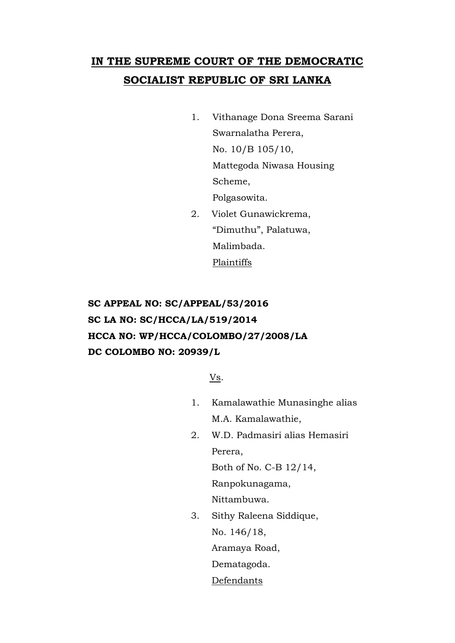# **IN THE SUPREME COURT OF THE DEMOCRATIC SOCIALIST REPUBLIC OF SRI LANKA**

- 1. Vithanage Dona Sreema Sarani Swarnalatha Perera, No. 10/B 105/10, Mattegoda Niwasa Housing Scheme, Polgasowita.
- 2. Violet Gunawickrema, "Dimuthu", Palatuwa, Malimbada. Plaintiffs

## **SC APPEAL NO: SC/APPEAL/53/2016 SC LA NO: SC/HCCA/LA/519/2014 HCCA NO: WP/HCCA/COLOMBO/27/2008/LA DC COLOMBO NO: 20939/L**

Vs.

- 1. Kamalawathie Munasinghe alias M.A. Kamalawathie,
- 2. W.D. Padmasiri alias Hemasiri Perera,

Both of No. C-B 12/14,

Ranpokunagama,

Nittambuwa.

3. Sithy Raleena Siddique, No. 146/18, Aramaya Road, Dematagoda.

Defendants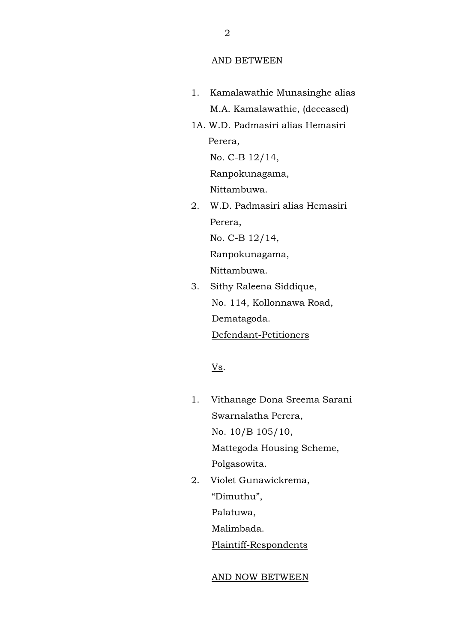#### AND BETWEEN

- 1. Kamalawathie Munasinghe alias M.A. Kamalawathie, (deceased)
- 1A. W.D. Padmasiri alias Hemasiri Perera,

No. C-B 12/14,

Ranpokunagama,

Nittambuwa.

2. W.D. Padmasiri alias Hemasiri Perera, No. C-B 12/14, Ranpokunagama,

Nittambuwa.

3. Sithy Raleena Siddique, No. 114, Kollonnawa Road, Dematagoda. Defendant-Petitioners

Vs.

- 1. Vithanage Dona Sreema Sarani Swarnalatha Perera, No. 10/B 105/10, Mattegoda Housing Scheme, Polgasowita.
- 2. Violet Gunawickrema, "Dimuthu", Palatuwa, Malimbada. Plaintiff-Respondents

### AND NOW BETWEEN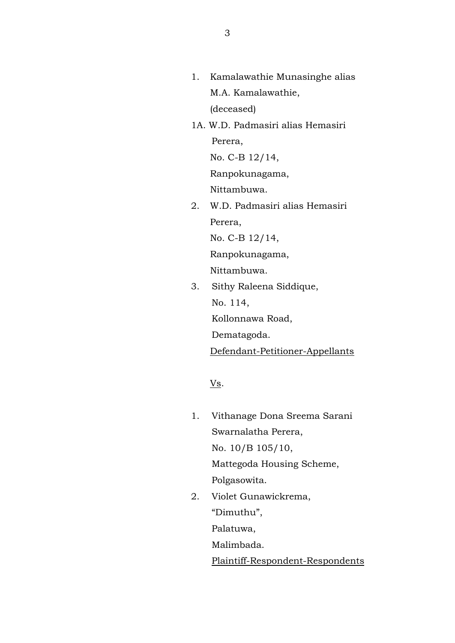- 1. Kamalawathie Munasinghe alias M.A. Kamalawathie, (deceased)
- 1A. W.D. Padmasiri alias Hemasiri Perera,

No. C-B 12/14,

Ranpokunagama,

Nittambuwa.

2. W.D. Padmasiri alias Hemasiri Perera, No. C-B 12/14,

Ranpokunagama,

Nittambuwa.

3. Sithy Raleena Siddique, No. 114, Kollonnawa Road, Dematagoda. Defendant-Petitioner-Appellants

 $\underline{\mathbf{V}}\underline{\mathbf{s}}$ .

- 1. Vithanage Dona Sreema Sarani Swarnalatha Perera, No. 10/B 105/10, Mattegoda Housing Scheme, Polgasowita.
- 2. Violet Gunawickrema,

"Dimuthu",

Palatuwa,

Malimbada.

Plaintiff-Respondent-Respondents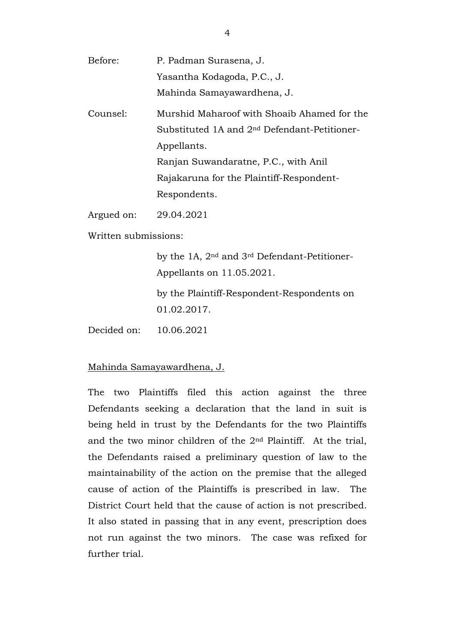| Before:    | P. Padman Surasena, J.                                   |
|------------|----------------------------------------------------------|
|            | Yasantha Kodagoda, P.C., J.                              |
|            | Mahinda Samayawardhena, J.                               |
| Counsel:   | Murshid Maharoof with Shoaib Ahamed for the              |
|            | Substituted 1A and 2 <sup>nd</sup> Defendant-Petitioner- |
|            | Appellants.                                              |
|            | Ranjan Suwandaratne, P.C., with Anil                     |
|            | Rajakaruna for the Plaintiff-Respondent-                 |
|            | Respondents.                                             |
| Argued on: | 29.04.2021                                               |

Written submissions:

by the 1A, 2nd and 3rd Defendant-Petitioner-Appellants on 11.05.2021.

by the Plaintiff-Respondent-Respondents on 01.02.2017.

Decided on: 10.06.2021

### Mahinda Samayawardhena, J.

The two Plaintiffs filed this action against the three Defendants seeking a declaration that the land in suit is being held in trust by the Defendants for the two Plaintiffs and the two minor children of the 2nd Plaintiff. At the trial, the Defendants raised a preliminary question of law to the maintainability of the action on the premise that the alleged cause of action of the Plaintiffs is prescribed in law. The District Court held that the cause of action is not prescribed. It also stated in passing that in any event, prescription does not run against the two minors. The case was refixed for further trial.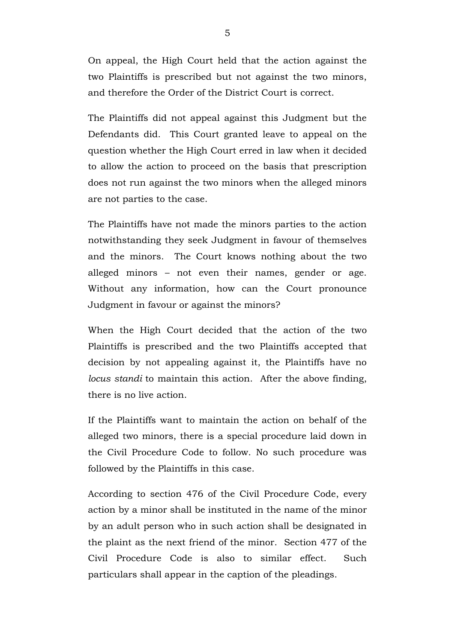On appeal, the High Court held that the action against the two Plaintiffs is prescribed but not against the two minors, and therefore the Order of the District Court is correct.

The Plaintiffs did not appeal against this Judgment but the Defendants did. This Court granted leave to appeal on the question whether the High Court erred in law when it decided to allow the action to proceed on the basis that prescription does not run against the two minors when the alleged minors are not parties to the case.

The Plaintiffs have not made the minors parties to the action notwithstanding they seek Judgment in favour of themselves and the minors. The Court knows nothing about the two alleged minors – not even their names, gender or age. Without any information, how can the Court pronounce Judgment in favour or against the minors?

When the High Court decided that the action of the two Plaintiffs is prescribed and the two Plaintiffs accepted that decision by not appealing against it, the Plaintiffs have no *locus standi* to maintain this action. After the above finding, there is no live action.

If the Plaintiffs want to maintain the action on behalf of the alleged two minors, there is a special procedure laid down in the Civil Procedure Code to follow. No such procedure was followed by the Plaintiffs in this case.

According to section 476 of the Civil Procedure Code, every action by a minor shall be instituted in the name of the minor by an adult person who in such action shall be designated in the plaint as the next friend of the minor. Section 477 of the Civil Procedure Code is also to similar effect. Such particulars shall appear in the caption of the pleadings.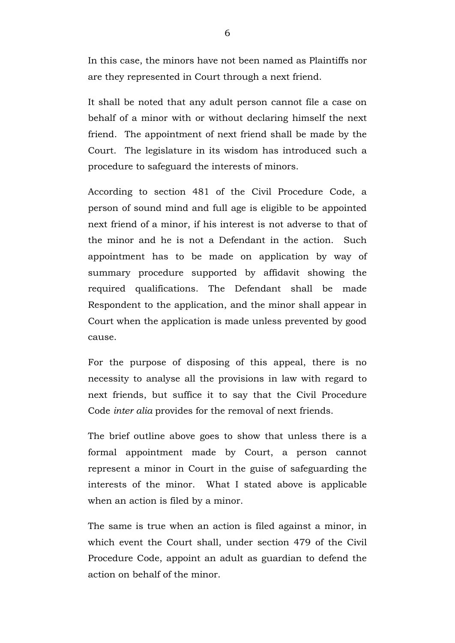In this case, the minors have not been named as Plaintiffs nor are they represented in Court through a next friend.

It shall be noted that any adult person cannot file a case on behalf of a minor with or without declaring himself the next friend. The appointment of next friend shall be made by the Court. The legislature in its wisdom has introduced such a procedure to safeguard the interests of minors.

According to section 481 of the Civil Procedure Code, a person of sound mind and full age is eligible to be appointed next friend of a minor, if his interest is not adverse to that of the minor and he is not a Defendant in the action. Such appointment has to be made on application by way of summary procedure supported by affidavit showing the required qualifications. The Defendant shall be made Respondent to the application, and the minor shall appear in Court when the application is made unless prevented by good cause.

For the purpose of disposing of this appeal, there is no necessity to analyse all the provisions in law with regard to next friends, but suffice it to say that the Civil Procedure Code *inter alia* provides for the removal of next friends.

The brief outline above goes to show that unless there is a formal appointment made by Court, a person cannot represent a minor in Court in the guise of safeguarding the interests of the minor. What I stated above is applicable when an action is filed by a minor.

The same is true when an action is filed against a minor, in which event the Court shall, under section 479 of the Civil Procedure Code, appoint an adult as guardian to defend the action on behalf of the minor.